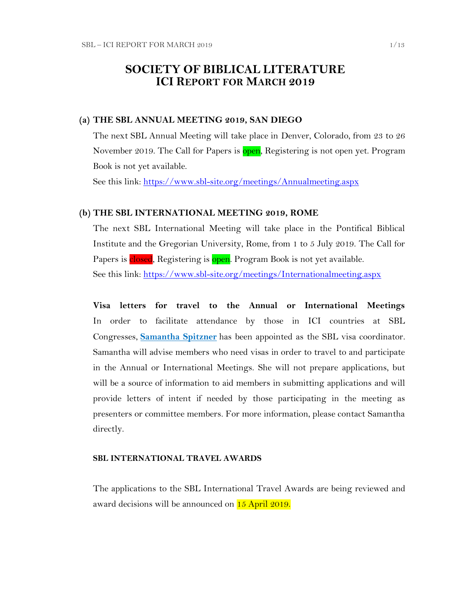## **SOCIETY OF BIBLICAL LITERATURE ICI REPORT FOR MARCH 2019**

#### **(a) THE SBL ANNUAL MEETING 2019, SAN DIEGO**

The next SBL Annual Meeting will take place in Denver, Colorado, from 23 to 26 November 2019. The Call for Papers is open, Registering is not open yet. Program Book is not yet available.

See this link:<https://www.sbl-site.org/meetings/Annualmeeting.aspx>

#### **(b) THE SBL INTERNATIONAL MEETING 2019, ROME**

The next SBL International Meeting will take place in the Pontifical Biblical Institute and the Gregorian University, Rome, from 1 to 5 July 2019. The Call for Papers is closed, Registering is open. Program Book is not yet available. See this link:<https://www.sbl-site.org/meetings/Internationalmeeting.aspx>

**Visa letters for travel to the Annual or International Meetings** In order to facilitate attendance by those in ICI countries at SBL Congresses, **[Samantha Spitzner](mailto:samantha.spitzner@sbl-site.org)** has been appointed as the SBL visa coordinator. Samantha will advise members who need visas in order to travel to and participate in the Annual or International Meetings. She will not prepare applications, but will be a source of information to aid members in submitting applications and will provide letters of intent if needed by those participating in the meeting as presenters or committee members. For more information, please contact Samantha directly.

#### **SBL INTERNATIONAL TRAVEL AWARDS**

The applications to the SBL International Travel Awards are being reviewed and award decisions will be announced on 15 April 2019.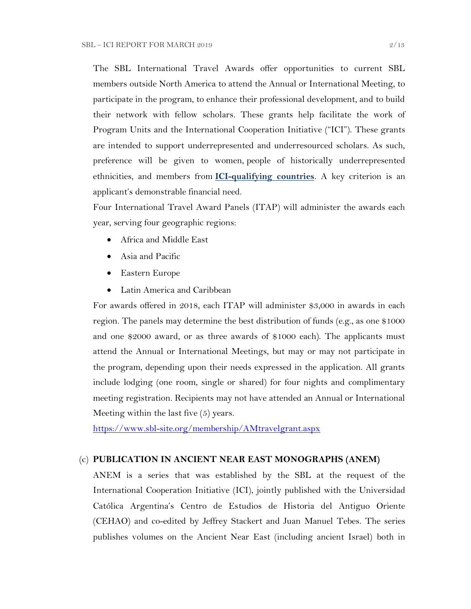The SBL International Travel Awards offer opportunities to current SBL members outside North America to attend the Annual or International Meeting, to participate in the program, to enhance their professional development, and to build their network with fellow scholars. These grants help facilitate the work of Program Units and the International Cooperation Initiative ("ICI"). These grants are intended to support underrepresented and underresourced scholars. As such, preference will be given to women, people of historically underrepresented ethnicities, and members from **[ICI-qualifying countries](https://www.sbl-site.org/assets/pdfs/ICIcountries.pdf)**. A key criterion is an applicant's demonstrable financial need.

Four International Travel Award Panels (ITAP) will administer the awards each year, serving four geographic regions:

- Africa and Middle East
- Asia and Pacific
- Eastern Europe
- Latin America and Caribbean

For awards offered in 2018, each ITAP will administer \$3,000 in awards in each region. The panels may determine the best distribution of funds (e.g., as one \$1000 and one \$2000 award, or as three awards of \$1000 each). The applicants must attend the Annual or International Meetings, but may or may not participate in the program, depending upon their needs expressed in the application. All grants include lodging (one room, single or shared) for four nights and complimentary meeting registration. Recipients may not have attended an Annual or International Meeting within the last five (5) years.

<https://www.sbl-site.org/membership/AMtravelgrant.aspx>

#### (c) **PUBLICATION IN [ANCIENT NEAR EAST MONOGRAPHS](http://www.sbl-site.org/publications/Books_ANEmonographs.aspx) (ANEM)**

ANEM is a series that was established by the SBL at the request of the International Cooperation Initiative (ICI), jointly published with the Universidad Católica Argentina's Centro de Estudios de Historia del Antiguo Oriente (CEHAO) and co-edited by Jeffrey Stackert and Juan Manuel Tebes. The series publishes volumes on the Ancient Near East (including ancient Israel) both in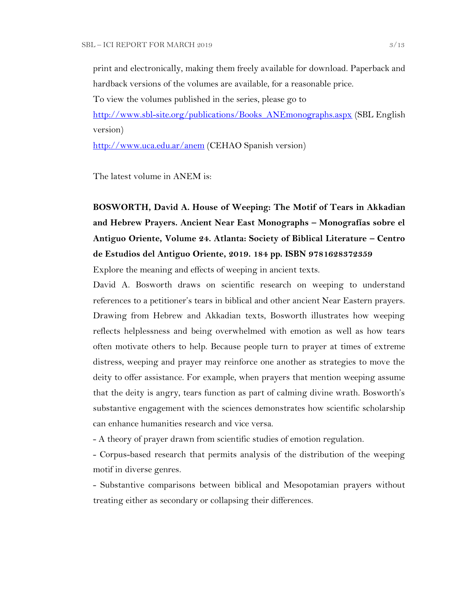print and electronically, making them freely available for download. Paperback and hardback versions of the volumes are available, for a reasonable price.

To view the volumes published in the series, please go to

[http://www.sbl-site.org/publications/Books\\_ANEmonographs.aspx](http://www.sbl-site.org/publications/Books_ANEmonographs.aspx) (SBL English version)

<http://www.uca.edu.ar/anem> (CEHAO Spanish version)

The latest volume in ANEM is:

**BOSWORTH, David A. House of Weeping: The Motif of Tears in Akkadian and Hebrew Prayers. Ancient Near East Monographs – Monografías sobre el Antiguo Oriente, Volume 24. Atlanta: Society of Biblical Literature – Centro de Estudios del Antiguo Oriente, 2019. 184 pp. ISBN 9781628372359** 

Explore the meaning and effects of weeping in ancient texts.

David A. Bosworth draws on scientific research on weeping to understand references to a petitioner's tears in biblical and other ancient Near Eastern prayers. Drawing from Hebrew and Akkadian texts, Bosworth illustrates how weeping reflects helplessness and being overwhelmed with emotion as well as how tears often motivate others to help. Because people turn to prayer at times of extreme distress, weeping and prayer may reinforce one another as strategies to move the deity to offer assistance. For example, when prayers that mention weeping assume that the deity is angry, tears function as part of calming divine wrath. Bosworth's substantive engagement with the sciences demonstrates how scientific scholarship can enhance humanities research and vice versa.

- A theory of prayer drawn from scientific studies of emotion regulation.

- Corpus-based research that permits analysis of the distribution of the weeping motif in diverse genres.

- Substantive comparisons between biblical and Mesopotamian prayers without treating either as secondary or collapsing their differences.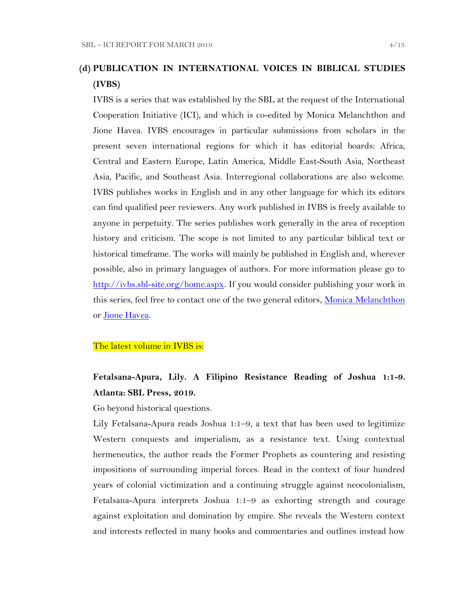## **(d) PUBLICATION IN INTERNATIONAL VOICES IN BIBLICAL STUDIES (IVBS)**

IVBS is a series that was established by the SBL at the request of the International Cooperation Initiative (ICI), and which is co-edited by Monica Melanchthon and Jione Havea. IVBS encourages in particular submissions from scholars in the present seven international regions for which it has editorial boards: Africa, Central and Eastern Europe, Latin America, Middle East-South Asia, Northeast Asia, Pacific, and Southeast Asia. Interregional collaborations are also welcome. IVBS publishes works in English and in any other language for which its editors can find qualified peer reviewers. Any work published in IVBS is freely available to anyone in perpetuity. The series publishes work generally in the area of reception history and criticism. The scope is not limited to any particular biblical text or historical timeframe. The works will mainly be published in English and, wherever possible, also in primary languages of authors. For more information please go to [http://ivbs.sbl-site.org/home.aspx.](http://ivbs.sbl-site.org/home.aspx) If you would consider publishing your work in this series, feel free to contact one of the two general editors, [Monica Melanchthon](mailto:ivbs2010@gmail.com) or [Jione Havea.](mailto:jioneh@nsw.uca.org.au)

#### The latest volume in IVBS is:

## **Fetalsana-Apura, Lily. A Filipino Resistance Reading of Joshua 1:1-9. Atlanta: SBL Press, 2019.**

Go beyond historical questions.

Lily Fetalsana-Apura reads Joshua 1:1–9, a text that has been used to legitimize Western conquests and imperialism, as a resistance text. Using contextual hermeneutics, the author reads the Former Prophets as countering and resisting impositions of surrounding imperial forces. Read in the context of four hundred years of colonial victimization and a continuing struggle against neocolonialism, Fetalsana-Apura interprets Joshua 1:1–9 as exhorting strength and courage against exploitation and domination by empire. She reveals the Western context and interests reflected in many books and commentaries and outlines instead how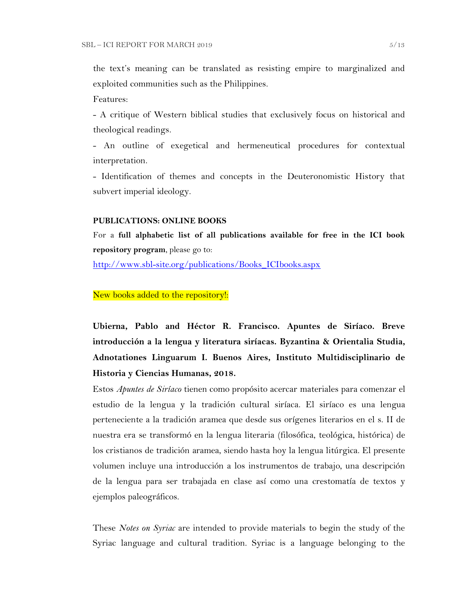the text's meaning can be translated as resisting empire to marginalized and exploited communities such as the Philippines.

Features:

- A critique of Western biblical studies that exclusively focus on historical and theological readings.

- An outline of exegetical and hermeneutical procedures for contextual interpretation.

- Identification of themes and concepts in the Deuteronomistic History that subvert imperial ideology.

#### **PUBLICATIONS: ONLINE BOOKS**

For a **full alphabetic list of all publications available for free in the ICI book repository program**, please go to:

[http://www.sbl-site.org/publications/Books\\_ICIbooks.aspx](http://www.sbl-site.org/publications/Books_ICIbooks.aspx)

#### New books added to the repository!:

**Ubierna, Pablo and Héctor R. Francisco. Apuntes de Siríaco. Breve introducción a la lengua y literatura siríacas. Byzantina & Orientalia Studia, Adnotationes Linguarum I. Buenos Aires, Instituto Multidisciplinario de Historia y Ciencias Humanas, 2018.**

Estos *Apuntes de Siríaco* tienen como propósito acercar materiales para comenzar el estudio de la lengua y la tradición cultural siríaca. El siríaco es una lengua perteneciente a la tradición aramea que desde sus orígenes literarios en el s. II de nuestra era se transformó en la lengua literaria (filosófica, teológica, histórica) de los cristianos de tradición aramea, siendo hasta hoy la lengua litúrgica. El presente volumen incluye una introducción a los instrumentos de trabajo, una descripción de la lengua para ser trabajada en clase así como una crestomatía de textos y ejemplos paleográficos.

These *Notes on Syriac* are intended to provide materials to begin the study of the Syriac language and cultural tradition. Syriac is a language belonging to the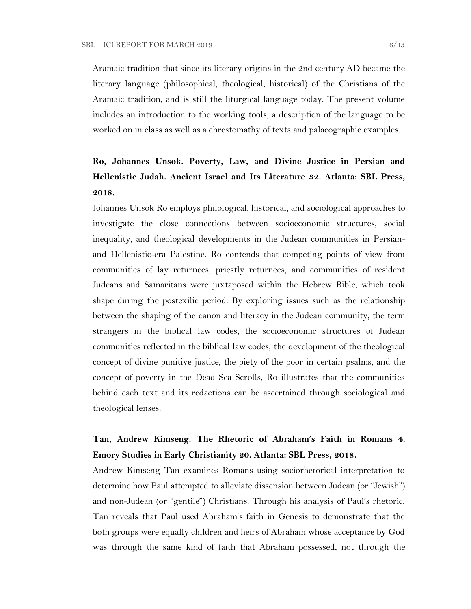Aramaic tradition that since its literary origins in the 2nd century AD became the literary language (philosophical, theological, historical) of the Christians of the Aramaic tradition, and is still the liturgical language today. The present volume includes an introduction to the working tools, a description of the language to be worked on in class as well as a chrestomathy of texts and palaeographic examples.

# **Ro, Johannes Unsok. Poverty, Law, and Divine Justice in Persian and Hellenistic Judah. Ancient Israel and Its Literature 32. Atlanta: SBL Press, 2018.**

Johannes Unsok Ro employs philological, historical, and sociological approaches to investigate the close connections between socioeconomic structures, social inequality, and theological developments in the Judean communities in Persianand Hellenistic-era Palestine. Ro contends that competing points of view from communities of lay returnees, priestly returnees, and communities of resident Judeans and Samaritans were juxtaposed within the Hebrew Bible, which took shape during the postexilic period. By exploring issues such as the relationship between the shaping of the canon and literacy in the Judean community, the term strangers in the biblical law codes, the socioeconomic structures of Judean communities reflected in the biblical law codes, the development of the theological concept of divine punitive justice, the piety of the poor in certain psalms, and the concept of poverty in the Dead Sea Scrolls, Ro illustrates that the communities behind each text and its redactions can be ascertained through sociological and theological lenses.

## **Tan, Andrew Kimseng. The Rhetoric of Abraham's Faith in Romans 4. Emory Studies in Early Christianity 20. Atlanta: SBL Press, 2018.**

Andrew Kimseng Tan examines Romans using sociorhetorical interpretation to determine how Paul attempted to alleviate dissension between Judean (or "Jewish") and non-Judean (or "gentile") Christians. Through his analysis of Paul's rhetoric, Tan reveals that Paul used Abraham's faith in Genesis to demonstrate that the both groups were equally children and heirs of Abraham whose acceptance by God was through the same kind of faith that Abraham possessed, not through the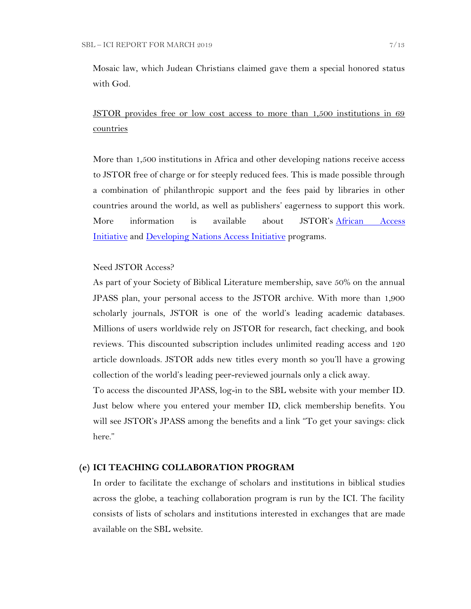Mosaic law, which Judean Christians claimed gave them a special honored status with God.

JSTOR provides free or low cost access to more than 1,500 institutions in 69 countries

More than 1,500 institutions in Africa and other developing nations receive access to JSTOR free of charge or for steeply reduced fees. This is made possible through a combination of philanthropic support and the fees paid by libraries in other countries around the world, as well as publishers' eagerness to support this work. More information is available about JSTOR's [African Access](http://about.jstor.org/libraries/african-access-initiative)  [Initiative](http://about.jstor.org/libraries/african-access-initiative) and [Developing Nations Access Initiative](http://about.jstor.org/libraries/developing-nations-access-initiative) programs.

#### Need JSTOR Access?

As part of your Society of Biblical Literature membership, save 50% on the annual JPASS plan, your personal access to the JSTOR archive. With more than 1,900 scholarly journals, JSTOR is one of the world's leading academic databases. Millions of users worldwide rely on JSTOR for research, fact checking, and book reviews. This discounted subscription includes unlimited reading access and 120 article downloads. JSTOR adds new titles every month so you'll have a growing collection of the world's leading peer-reviewed journals only a click away.

To access the discounted JPASS, log-in to the SBL website with your member ID. Just below where you entered your member ID, click membership benefits. You will see JSTOR's JPASS among the benefits and a link "To get your savings: click" here."

#### **(e) ICI TEACHING COLLABORATION PROGRAM**

In order to facilitate the exchange of scholars and institutions in biblical studies across the globe, a teaching collaboration program is run by the ICI. The facility consists of lists of scholars and institutions interested in exchanges that are made available on the SBL website.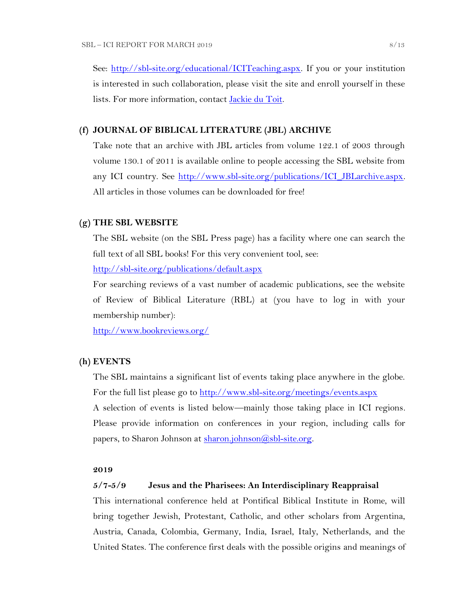See: [http://sbl-site.org/educational/ICITeaching.aspx.](http://sbl-site.org/educational/ICITeaching.aspx) If you or your institution is interested in such collaboration, please visit the site and enroll yourself in these lists. For more information, contact [Jackie du Toit.](mailto:dutoitjs@ufs.ac.za)

#### **(f) JOURNAL OF BIBLICAL LITERATURE (JBL) ARCHIVE**

Take note that an archive with JBL articles from volume 122.1 of 2003 through volume 130.1 of 2011 is available online to people accessing the SBL website from any ICI country. See http://www.sbl-site.org/publications/ICI\_JBLarchive.aspx. All articles in those volumes can be downloaded for free!

#### **(g) THE SBL WEBSITE**

The SBL website (on the SBL Press page) has a facility where one can search the full text of all SBL books! For this very convenient tool, see:

<http://sbl-site.org/publications/default.aspx>

For searching reviews of a vast number of academic publications, see the website of Review of Biblical Literature (RBL) at (you have to log in with your membership number):

<http://www.bookreviews.org/>

#### **(h) EVENTS**

The SBL maintains a significant list of events taking place anywhere in the globe. For the full list please go to<http://www.sbl-site.org/meetings/events.aspx> A selection of events is listed below—mainly those taking place in ICI regions. Please provide information on conferences in your region, including calls for papers, to Sharon Johnson at [sharon.johnson@sbl-site.org.](mailto:sharon.johnson@sbl-site.org)

#### **2019**

#### **5/7-5/9 Jesus and the Pharisees: An Interdisciplinary Reappraisal**

This international conference held at Pontifical Biblical Institute in Rome, will bring together Jewish, Protestant, Catholic, and other scholars from Argentina, Austria, Canada, Colombia, Germany, India, Israel, Italy, Netherlands, and the United States. The conference first deals with the possible origins and meanings of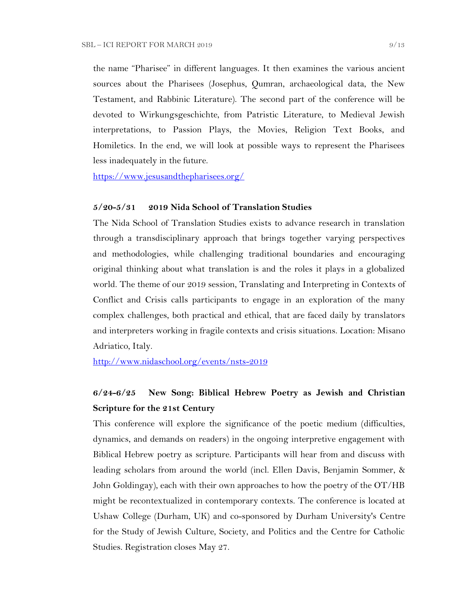the name "Pharisee" in different languages. It then examines the various ancient sources about the Pharisees (Josephus, Qumran, archaeological data, the New Testament, and Rabbinic Literature). The second part of the conference will be devoted to Wirkungsgeschichte, from Patristic Literature, to Medieval Jewish interpretations, to Passion Plays, the Movies, Religion Text Books, and Homiletics. In the end, we will look at possible ways to represent the Pharisees less inadequately in the future.

<https://www.jesusandthepharisees.org/>

### **5/20-5/31 2019 Nida School of Translation Studies**

The Nida School of Translation Studies exists to advance research in translation through a transdisciplinary approach that brings together varying perspectives and methodologies, while challenging traditional boundaries and encouraging original thinking about what translation is and the roles it plays in a globalized world. The theme of our 2019 session, Translating and Interpreting in Contexts of Conflict and Crisis calls participants to engage in an exploration of the many complex challenges, both practical and ethical, that are faced daily by translators and interpreters working in fragile contexts and crisis situations. Location: Misano Adriatico, Italy.

<http://www.nidaschool.org/events/nsts-2019>

## **6/24-6/25 New Song: Biblical Hebrew Poetry as Jewish and Christian Scripture for the 21st Century**

This conference will explore the significance of the poetic medium (difficulties, dynamics, and demands on readers) in the ongoing interpretive engagement with Biblical Hebrew poetry as scripture. Participants will hear from and discuss with leading scholars from around the world (incl. Ellen Davis, Benjamin Sommer, & John Goldingay), each with their own approaches to how the poetry of the OT/HB might be recontextualized in contemporary contexts. The conference is located at Ushaw College (Durham, UK) and co-sponsored by Durham University's Centre for the Study of Jewish Culture, Society, and Politics and the Centre for Catholic Studies. Registration closes May 27.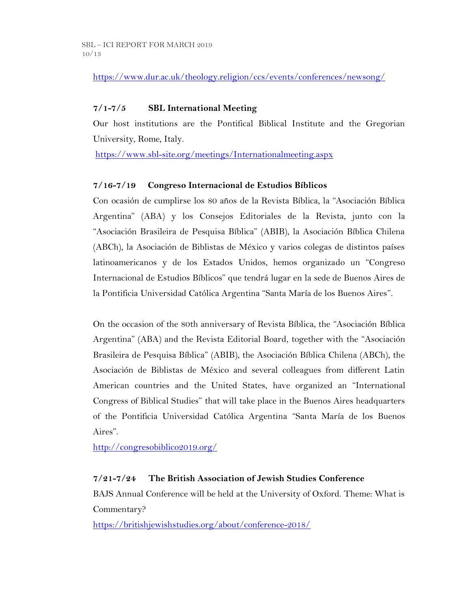<https://www.dur.ac.uk/theology.religion/ccs/events/conferences/newsong/>

## **7/1-7/5 SBL International Meeting**

Our host institutions are the Pontifical Biblical Institute and the Gregorian University, Rome, Italy.

<https://www.sbl-site.org/meetings/Internationalmeeting.aspx>

## **7/16-7/19 Congreso Internacional de Estudios Bíblicos**

Con ocasión de cumplirse los 80 años de la Revista Bíblica, la "Asociación Bíblica Argentina" (ABA) y los Consejos Editoriales de la Revista, junto con la "Asociación Brasileira de Pesquisa Bíblica" (ABIB), la Asociación Bíblica Chilena (ABCh), la Asociación de Biblistas de México y varios colegas de distintos países latinoamericanos y de los Estados Unidos, hemos organizado un "Congreso Internacional de Estudios Bíblicos" que tendrá lugar en la sede de Buenos Aires de la Pontificia Universidad Católica Argentina "Santa María de los Buenos Aires".

On the occasion of the 80th anniversary of Revista Bíblica, the "Asociación Bíblica Argentina" (ABA) and the Revista Editorial Board, together with the "Asociación Brasileira de Pesquisa Bíblica" (ABIB), the Asociación Bíblica Chilena (ABCh), the Asociación de Biblistas de México and several colleagues from different Latin American countries and the United States, have organized an "International Congress of Biblical Studies" that will take place in the Buenos Aires headquarters of the Pontificia Universidad Católica Argentina "Santa María de los Buenos Aires".

<http://congresobiblico2019.org/>

## **7/21-7/24 The British Association of Jewish Studies Conference**

BAJS Annual Conference will be held at the University of Oxford. Theme: What is Commentary?

<https://britishjewishstudies.org/about/conference-2018/>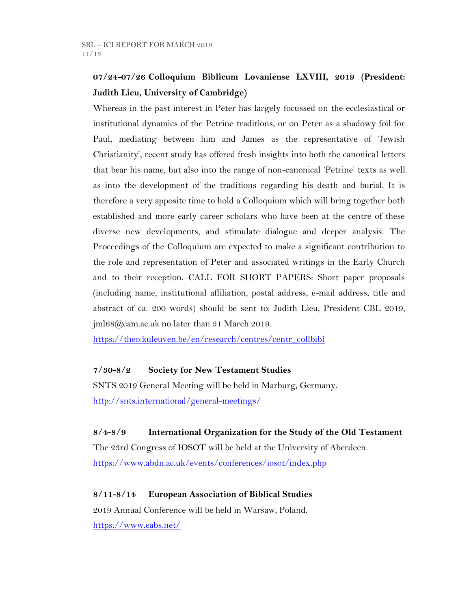# **07/24-07/26 Colloquium Biblicum Lovaniense LXVIII, 2019 (President: Judith Lieu, University of Cambridge)**

Whereas in the past interest in Peter has largely focussed on the ecclesiastical or institutional dynamics of the Petrine traditions, or on Peter as a shadowy foil for Paul, mediating between him and James as the representative of 'Jewish Christianity', recent study has offered fresh insights into both the canonical letters that bear his name, but also into the range of non-canonical 'Petrine' texts as well as into the development of the traditions regarding his death and burial. It is therefore a very apposite time to hold a Colloquium which will bring together both established and more early career scholars who have been at the centre of these diverse new developments, and stimulate dialogue and deeper analysis. The Proceedings of the Colloquium are expected to make a significant contribution to the role and representation of Peter and associated writings in the Early Church and to their reception. CALL FOR SHORT PAPERS: Short paper proposals (including name, institutional affiliation, postal address, e-mail address, title and abstract of ca. 200 words) should be sent to: Judith Lieu, President CBL 2019, jml68@cam.ac.uk no later than 31 March 2019.

[https://theo.kuleuven.be/en/research/centres/centr\\_collbibl](https://theo.kuleuven.be/en/research/centres/centr_collbibl)

## **7/30-8/2 Society for New Testament Studies**

SNTS 2019 General Meeting will be held in Marburg, Germany. <http://snts.international/general-meetings/>

## **8/4-8/9 International Organization for the Study of the Old Testament**

The 23rd Congress of IOSOT will be held at the University of Aberdeen. <https://www.abdn.ac.uk/events/conferences/iosot/index.php>

## **8/11-8/14 European Association of Biblical Studies**

2019 Annual Conference will be held in Warsaw, Poland. <https://www.eabs.net/>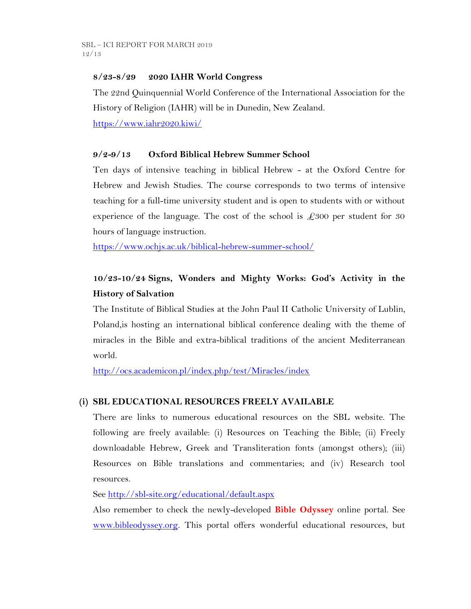## **8/23-8/29 2020 IAHR World Congress**

The 22nd Quinquennial World Conference of the International Association for the History of Religion (IAHR) will be in Dunedin, New Zealand.

<https://www.iahr2020.kiwi/>

## **9/2-9/13 Oxford Biblical Hebrew Summer School**

Ten days of intensive teaching in biblical Hebrew - at the Oxford Centre for Hebrew and Jewish Studies. The course corresponds to two terms of intensive teaching for a full-time university student and is open to students with or without experience of the language. The cost of the school is  $\text{\pounds}300$  per student for 30 hours of language instruction.

<https://www.ochjs.ac.uk/biblical-hebrew-summer-school/>

# **10/23-10/24 Signs, Wonders and Mighty Works: God's Activity in the History of Salvation**

The Institute of Biblical Studies at the John Paul II Catholic University of Lublin, Poland,is hosting an international biblical conference dealing with the theme of miracles in the Bible and extra-biblical traditions of the ancient Mediterranean world.

<http://ocs.academicon.pl/index.php/test/Miracles/index>

## **(i) SBL EDUCATIONAL RESOURCES FREELY AVAILABLE**

There are links to numerous educational resources on the SBL website. The following are freely available: (i) Resources on Teaching the Bible; (ii) Freely downloadable Hebrew, Greek and Transliteration fonts (amongst others); (iii) Resources on Bible translations and commentaries; and (iv) Research tool resources.

See<http://sbl-site.org/educational/default.aspx>

Also remember to check the newly-developed **Bible Odyssey** online portal. See [www.bibleodyssey.org.](http://www.bibleodyssey.org/) This portal offers wonderful educational resources, but